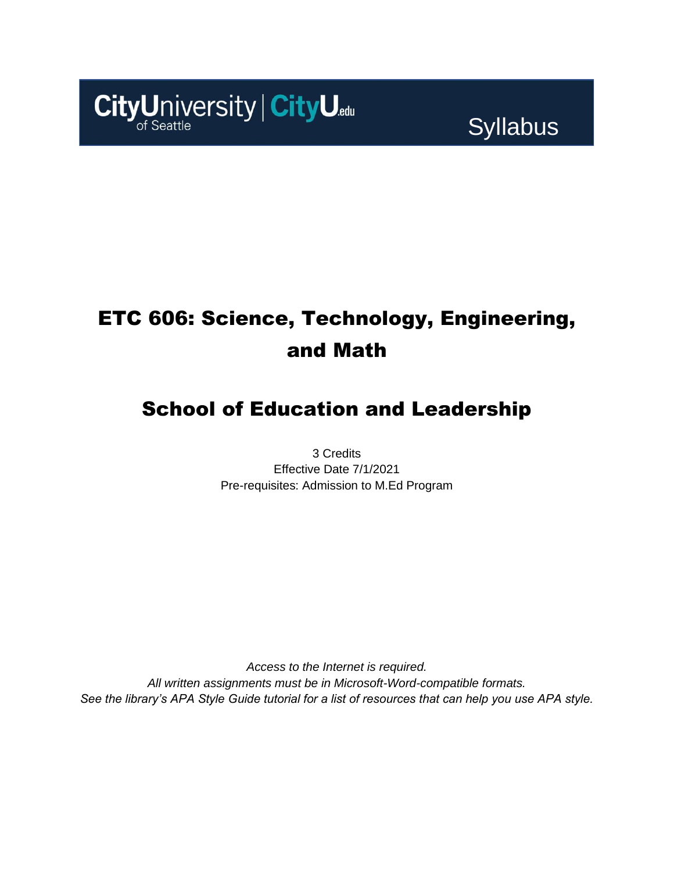

# ETC 606: Science, Technology, Engineering, and Math

# School of Education and Leadership

3 Credits Effective Date 7/1/2021 Pre-requisites: Admission to M.Ed Program

*Access to the Internet is required. All written assignments must be in Microsoft-Word-compatible formats. See the library's APA Style Guide tutorial for a list of resources that can help you use APA style.*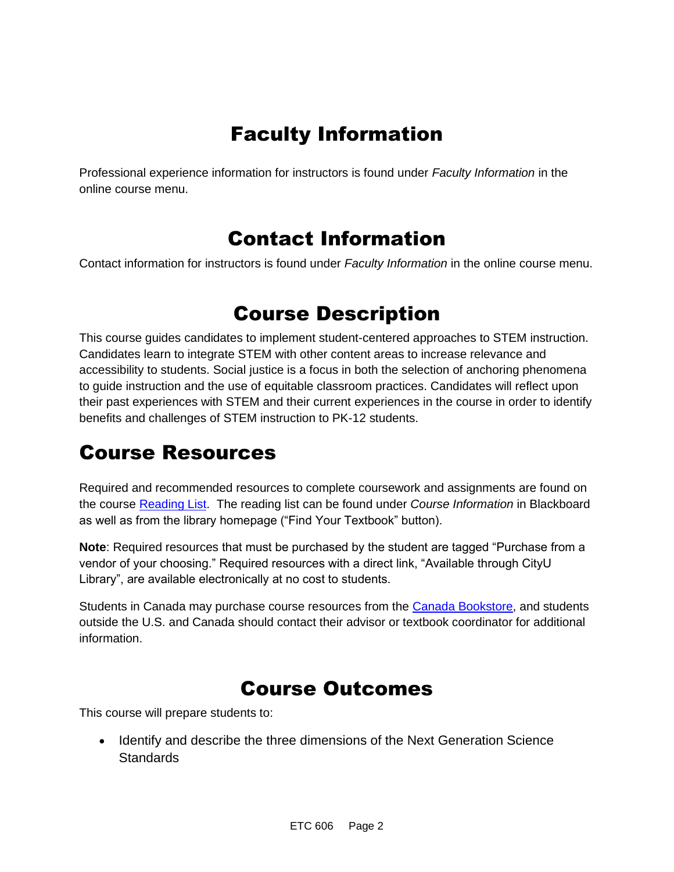# Faculty Information

Professional experience information for instructors is found under *Faculty Information* in the online course menu.

### Contact Information

Contact information for instructors is found under *Faculty Information* in the online course menu.

# Course Description

This course guides candidates to implement student-centered approaches to STEM instruction. Candidates learn to integrate STEM with other content areas to increase relevance and accessibility to students. Social justice is a focus in both the selection of anchoring phenomena to guide instruction and the use of equitable classroom practices. Candidates will reflect upon their past experiences with STEM and their current experiences in the course in order to identify benefits and challenges of STEM instruction to PK-12 students.

# Course Resources

Required and recommended resources to complete coursework and assignments are found on the course [Reading List.](https://cityu.alma.exlibrisgroup.com/leganto/login?auth=SAML) The reading list can be found under *Course Information* in Blackboard as well as from the library homepage ("Find Your Textbook" button).

**Note**: Required resources that must be purchased by the student are tagged "Purchase from a vendor of your choosing." Required resources with a direct link, "Available through CityU Library", are available electronically at no cost to students.

Students in Canada may purchase course resources from the [Canada Bookstore,](https://www.cityubookstore.ca/index.asp) and students outside the U.S. and Canada should contact their advisor or textbook coordinator for additional information.

# Course Outcomes

This course will prepare students to:

• Identify and describe the three dimensions of the Next Generation Science **Standards**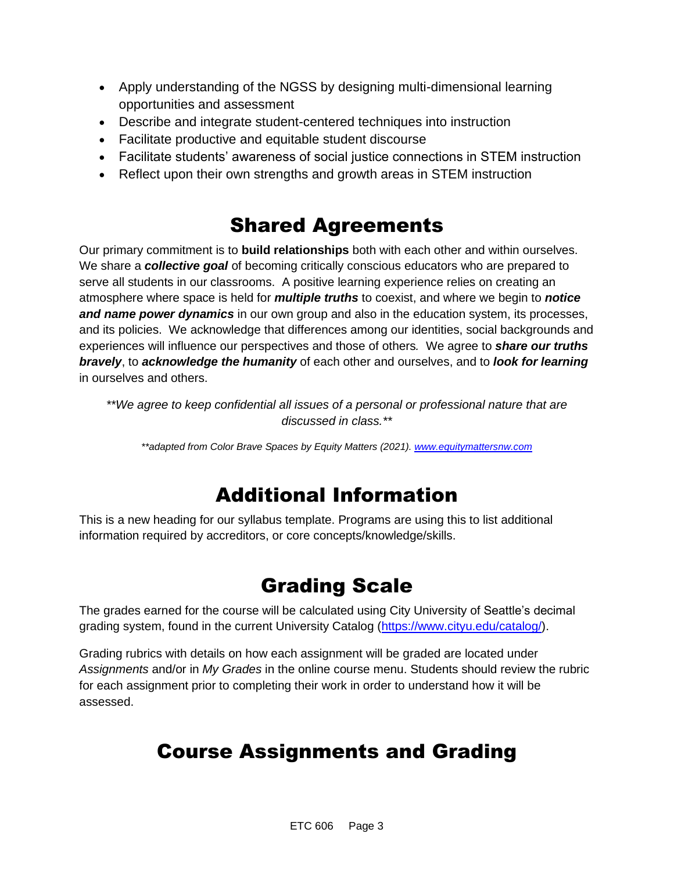- Apply understanding of the NGSS by designing multi-dimensional learning opportunities and assessment
- Describe and integrate student-centered techniques into instruction
- Facilitate productive and equitable student discourse
- Facilitate students' awareness of social justice connections in STEM instruction
- Reflect upon their own strengths and growth areas in STEM instruction

# Shared Agreements

Our primary commitment is to **build relationships** both with each other and within ourselves. We share a *collective goal* of becoming critically conscious educators who are prepared to serve all students in our classrooms. A positive learning experience relies on creating an atmosphere where space is held for *multiple truths* to coexist, and where we begin to *notice and name power dynamics* in our own group and also in the education system, its processes, and its policies. We acknowledge that differences among our identities, social backgrounds and experiences will influence our perspectives and those of others*.* We agree to *share our truths bravely*, to *acknowledge the humanity* of each other and ourselves, and to *look for learning* in ourselves and others.

*\*\*We agree to keep confidential all issues of a personal or professional nature that are discussed in class.\*\**

*\*\*adapted from Color Brave Spaces by Equity Matters (2021)[. www.equitymattersnw.com](http://www.equitymattersnw.com/)*

# Additional Information

This is a new heading for our syllabus template. Programs are using this to list additional information required by accreditors, or core concepts/knowledge/skills.

# Grading Scale

The grades earned for the course will be calculated using City University of Seattle's decimal grading system, found in the current University Catalog [\(https://www.cityu.edu/catalog/\)](https://www.cityu.edu/catalog/).

Grading rubrics with details on how each assignment will be graded are located under *Assignments* and/or in *My Grades* in the online course menu. Students should review the rubric for each assignment prior to completing their work in order to understand how it will be assessed.

# Course Assignments and Grading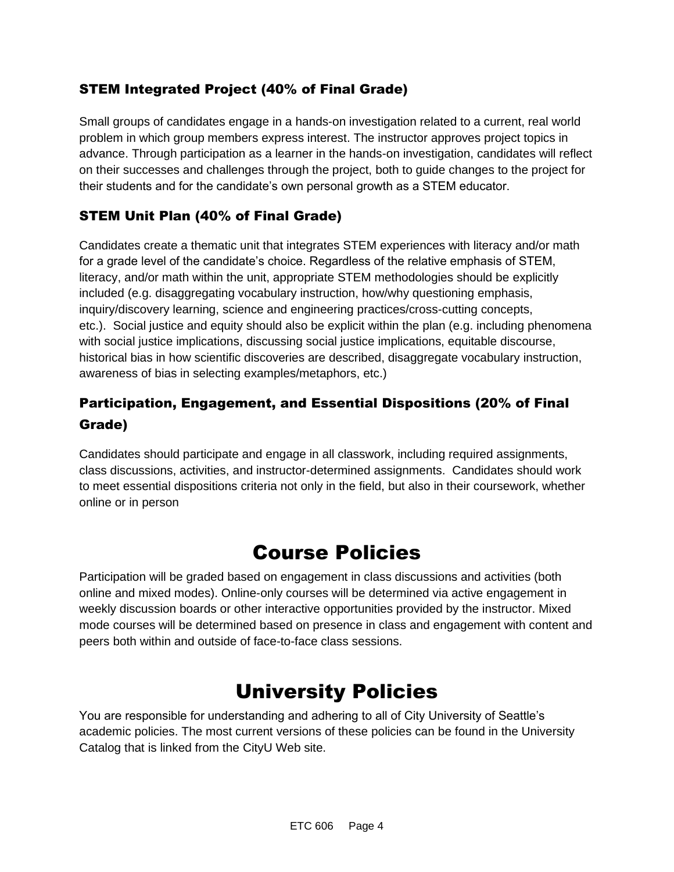### STEM Integrated Project (40% of Final Grade)

Small groups of candidates engage in a hands-on investigation related to a current, real world problem in which group members express interest. The instructor approves project topics in advance. Through participation as a learner in the hands-on investigation, candidates will reflect on their successes and challenges through the project, both to guide changes to the project for their students and for the candidate's own personal growth as a STEM educator.

### STEM Unit Plan (40% of Final Grade)

Candidates create a thematic unit that integrates STEM experiences with literacy and/or math for a grade level of the candidate's choice. Regardless of the relative emphasis of STEM, literacy, and/or math within the unit, appropriate STEM methodologies should be explicitly included (e.g. disaggregating vocabulary instruction, how/why questioning emphasis, inquiry/discovery learning, science and engineering practices/cross-cutting concepts, etc.). Social justice and equity should also be explicit within the plan (e.g. including phenomena with social justice implications, discussing social justice implications, equitable discourse, historical bias in how scientific discoveries are described, disaggregate vocabulary instruction, awareness of bias in selecting examples/metaphors, etc.)

### Participation, Engagement, and Essential Dispositions (20% of Final Grade)

Candidates should participate and engage in all classwork, including required assignments, class discussions, activities, and instructor-determined assignments. Candidates should work to meet essential dispositions criteria not only in the field, but also in their coursework, whether online or in person

### Course Policies

Participation will be graded based on engagement in class discussions and activities (both online and mixed modes). Online-only courses will be determined via active engagement in weekly discussion boards or other interactive opportunities provided by the instructor. Mixed mode courses will be determined based on presence in class and engagement with content and peers both within and outside of face-to-face class sessions.

# University Policies

You are responsible for understanding and adhering to all of City University of Seattle's academic policies. The most current versions of these policies can be found in the University Catalog that is linked from the CityU Web site.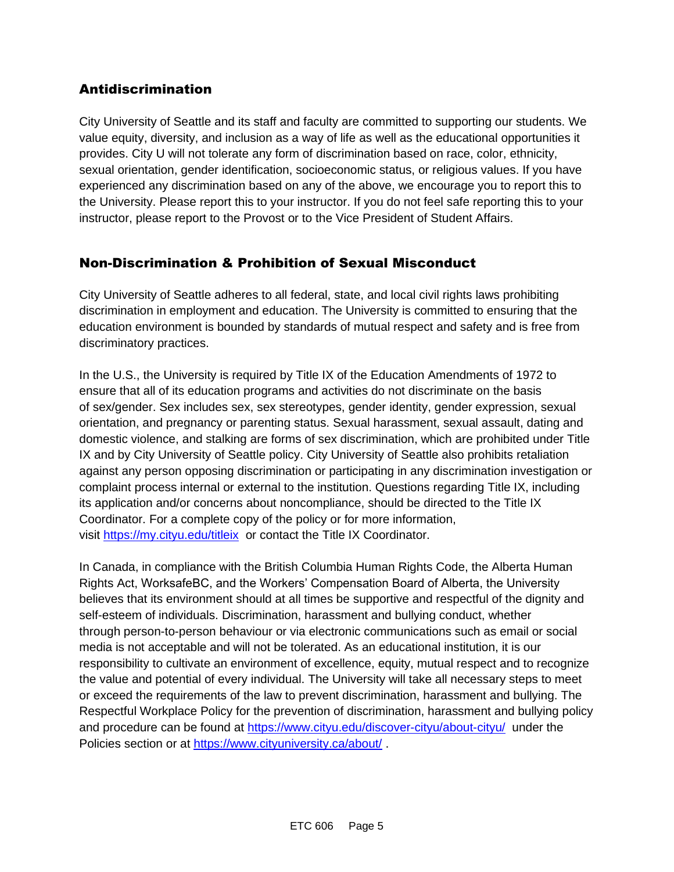### Antidiscrimination

City University of Seattle and its staff and faculty are committed to supporting our students. We value equity, diversity, and inclusion as a way of life as well as the educational opportunities it provides. City U will not tolerate any form of discrimination based on race, color, ethnicity, sexual orientation, gender identification, socioeconomic status, or religious values. If you have experienced any discrimination based on any of the above, we encourage you to report this to the University. Please report this to your instructor. If you do not feel safe reporting this to your instructor, please report to the Provost or to the Vice President of Student Affairs.

### Non-Discrimination & Prohibition of Sexual Misconduct

City University of Seattle adheres to all federal, state, and local civil rights laws prohibiting discrimination in employment and education. The University is committed to ensuring that the education environment is bounded by standards of mutual respect and safety and is free from discriminatory practices.

In the U.S., the University is required by Title IX of the Education Amendments of 1972 to ensure that all of its education programs and activities do not discriminate on the basis of sex/gender. Sex includes sex, sex stereotypes, gender identity, gender expression, sexual orientation, and pregnancy or parenting status. Sexual harassment, sexual assault, dating and domestic violence, and stalking are forms of sex discrimination, which are prohibited under Title IX and by City University of Seattle policy. City University of Seattle also prohibits retaliation against any person opposing discrimination or participating in any discrimination investigation or complaint process internal or external to the institution. Questions regarding Title IX, including its application and/or concerns about noncompliance, should be directed to the Title IX Coordinator. For a complete copy of the policy or for more information, visit [https://my.cityu.edu/titleix](https://nam11.safelinks.protection.outlook.com/?url=https%3A%2F%2Fmy.cityu.edu%2Ftitleix&data=04%7C01%7Claker%40cityu.edu%7Cbc558c70c10340dbaa2408d9172365a0%7Cb3fa96d9f5154662add763d854e39e63%7C1%7C0%7C637566263054321964%7CUnknown%7CTWFpbGZsb3d8eyJWIjoiMC4wLjAwMDAiLCJQIjoiV2luMzIiLCJBTiI6Ik1haWwiLCJXVCI6Mn0%3D%7C1000&sdata=GX0hgfxN2OMKFTKjD04gqvwwyU44mfnCmEdCtsEzab0%3D&reserved=0) or contact the Title IX Coordinator.

In Canada, in compliance with the British Columbia Human Rights Code, the Alberta Human Rights Act, WorksafeBC, and the Workers' Compensation Board of Alberta, the University believes that its environment should at all times be supportive and respectful of the dignity and self-esteem of individuals. Discrimination, harassment and bullying conduct, whether through person-to-person behaviour or via electronic communications such as email or social media is not acceptable and will not be tolerated. As an educational institution, it is our responsibility to cultivate an environment of excellence, equity, mutual respect and to recognize the value and potential of every individual. The University will take all necessary steps to meet or exceed the requirements of the law to prevent discrimination, harassment and bullying. The Respectful Workplace Policy for the prevention of discrimination, harassment and bullying policy and procedure can be found at [https://www.cityu.edu/discover-cityu/about-cityu/](https://nam11.safelinks.protection.outlook.com/?url=https%3A%2F%2Fwww.cityu.edu%2Fdiscover-cityu%2Fabout-cityu%2F&data=04%7C01%7Claker%40cityu.edu%7Cbc558c70c10340dbaa2408d9172365a0%7Cb3fa96d9f5154662add763d854e39e63%7C1%7C0%7C637566263054331957%7CUnknown%7CTWFpbGZsb3d8eyJWIjoiMC4wLjAwMDAiLCJQIjoiV2luMzIiLCJBTiI6Ik1haWwiLCJXVCI6Mn0%3D%7C1000&sdata=7Q6QoqwuNLfeOJPewViWSeIwRIBy%2BoqDOiP8xSHYm78%3D&reserved=0) under the Policies section or at [https://www.cityuniversity.ca/about/](https://nam11.safelinks.protection.outlook.com/?url=https%3A%2F%2Fwww.cityuniversity.ca%2Fabout%2F&data=04%7C01%7Claker%40cityu.edu%7Cbc558c70c10340dbaa2408d9172365a0%7Cb3fa96d9f5154662add763d854e39e63%7C1%7C0%7C637566263054331957%7CUnknown%7CTWFpbGZsb3d8eyJWIjoiMC4wLjAwMDAiLCJQIjoiV2luMzIiLCJBTiI6Ik1haWwiLCJXVCI6Mn0%3D%7C1000&sdata=TX6bXEiU0CC6hC1mrTnKpuJywbR06qAj7RMu8QC4RUA%3D&reserved=0) .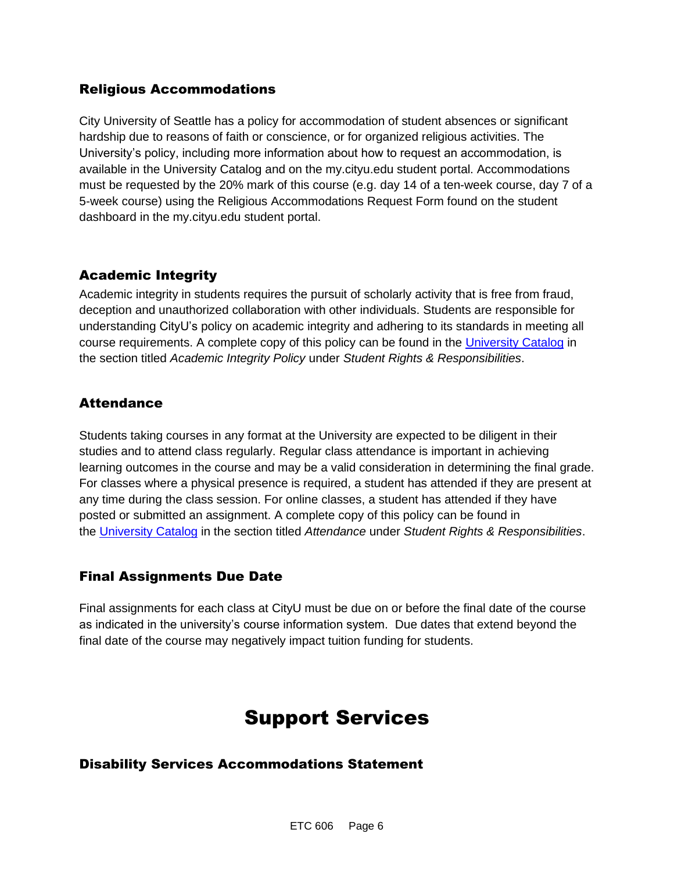### Religious Accommodations

City University of Seattle has a policy for accommodation of student absences or significant hardship due to reasons of faith or conscience, or for organized religious activities. The University's policy, including more information about how to request an accommodation, is available in the University Catalog and on the my.cityu.edu student portal. Accommodations must be requested by the 20% mark of this course (e.g. day 14 of a ten-week course, day 7 of a 5-week course) using the Religious Accommodations Request Form found on the student dashboard in the my.cityu.edu student portal.

#### Academic Integrity

Academic integrity in students requires the pursuit of scholarly activity that is free from fraud, deception and unauthorized collaboration with other individuals. Students are responsible for understanding CityU's policy on academic integrity and adhering to its standards in meeting all course requirements. A complete copy of this policy can be found in the [University Catalog](https://nam11.safelinks.protection.outlook.com/?url=http%3A%2F%2Fwww.cityu.edu%2Fcatalog%2F&data=04%7C01%7Claker%40cityu.edu%7Cbc558c70c10340dbaa2408d9172365a0%7Cb3fa96d9f5154662add763d854e39e63%7C1%7C0%7C637566263054341952%7CUnknown%7CTWFpbGZsb3d8eyJWIjoiMC4wLjAwMDAiLCJQIjoiV2luMzIiLCJBTiI6Ik1haWwiLCJXVCI6Mn0%3D%7C1000&sdata=aL6fsSyLtVzJgdrlE9PtZXb%2F3H6wCdrvPcw4zOoEYTI%3D&reserved=0) in the section titled *Academic Integrity Policy* under *Student Rights & Responsibilities*.

#### **Attendance**

Students taking courses in any format at the University are expected to be diligent in their studies and to attend class regularly. Regular class attendance is important in achieving learning outcomes in the course and may be a valid consideration in determining the final grade. For classes where a physical presence is required, a student has attended if they are present at any time during the class session. For online classes, a student has attended if they have posted or submitted an assignment. A complete copy of this policy can be found in the [University Catalog](https://nam11.safelinks.protection.outlook.com/?url=http%3A%2F%2Fwww.cityu.edu%2Fcatalog%2F&data=04%7C01%7Claker%40cityu.edu%7Cbc558c70c10340dbaa2408d9172365a0%7Cb3fa96d9f5154662add763d854e39e63%7C1%7C0%7C637566263054341952%7CUnknown%7CTWFpbGZsb3d8eyJWIjoiMC4wLjAwMDAiLCJQIjoiV2luMzIiLCJBTiI6Ik1haWwiLCJXVCI6Mn0%3D%7C1000&sdata=aL6fsSyLtVzJgdrlE9PtZXb%2F3H6wCdrvPcw4zOoEYTI%3D&reserved=0) in the section titled *Attendance* under *Student Rights & Responsibilities*.

### Final Assignments Due Date

Final assignments for each class at CityU must be due on or before the final date of the course as indicated in the university's course information system. Due dates that extend beyond the final date of the course may negatively impact tuition funding for students.

### Support Services

#### Disability Services Accommodations Statement